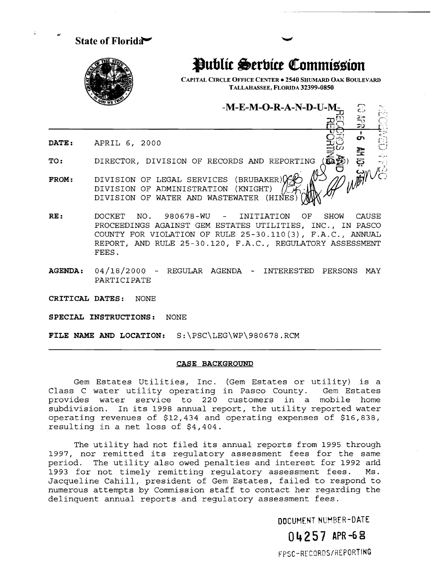State of Florida $\blacktriangleright$ 

,.,

**Public Serbice Commission** 

CAPITAL CIRCLE OFFICE CENTER. 2540 SHUMARD OAK BOULEVARD TALLAHASSEE, FLORIDA 32399-0850

 $-M-E-M-O-R-A-N-D-U-N$ 

 $r=\frac{1}{2}$  is  $r=\frac{1}{2}$ .  $\frac{\pi}{2}$   $\frac{3}{2}$  ,  $\frac{3}{2}$  ,  $\frac{1}{2}$ 

DATE: APRIL 6, 2000  $\overline{\mathcal{L}}$   $\overline{\mathcal{L}}$   $\overline{\mathcal{L}}$   $\overline{\mathcal{L}}$   $\overline{\mathcal{L}}$   $\overline{\mathcal{L}}$   $\overline{\mathcal{L}}$   $\overline{\mathcal{L}}$ 

TO: DIRECTOR, DIVISION OF RECORDS AND REPORTING

- FROM: DIVISION OF ADMINISTRATION DIVISION OF LEGAL SERVICES (BRUBAKER)  $\forall\forall\vec{r}$ OS AND REPORTING (KAP) DIVISION OF WATER AND WASTEWATER (HINES)
- RE: DOCKET NO. 980678-WU INITIATION OF SHOW CAUSE PROCEEDINGS AGAINST GEM ESTATES UTILITIES, INC., IN PASCO COUNTY FOR VIOLATION OF RULE 25-30.110(3), F.A.C., ANNUAL REPORT, AND RULE 25-30.120, F.A.C., REGULATORY ASSESSMENT FEES.
- AGENDA:  $04/18/2000$  REGULAR AGENDA INTERESTED PERSONS MAY PARTICIPATE

CRITICAL DATES: NONE

SPECIAL INSTRUCTIONS: NONE

FILE NAME AND LOCATION: S:\PSC\LEG\WP\980678.RCM

## CASE BACKGROUND

Gem Estates Utilities, Inc. (Gem Estates or utility) is a<br>C water utility operating in Pasco County. Gem Estates Class C water utility operating in Pasco County. provides water service to 220 customers in a mobile home subdivision. In its 1998 annual report, the utility reported water operating revenues of \$12,434 and operating expenses of \$16,838, resulting in a net loss of \$4,404.

The utility had not filed its annual reports from 1995 through 1997, nor remitted its regulatory assessment fees for the same period. The utility also owed penalties and interest for 1992 and 1993 for not timely remitting regulatory assessment fees. Ms. Jacqueline Cahill, president of Gem Estates, failed to respond to numerous attempts by Commission staff to contact her regarding the delinquent annual reports and regulatory assessment fees.

OOCUMENT NUMBER-DATE

04257 APR-68 FPSC-RECORDS/REPORTIHG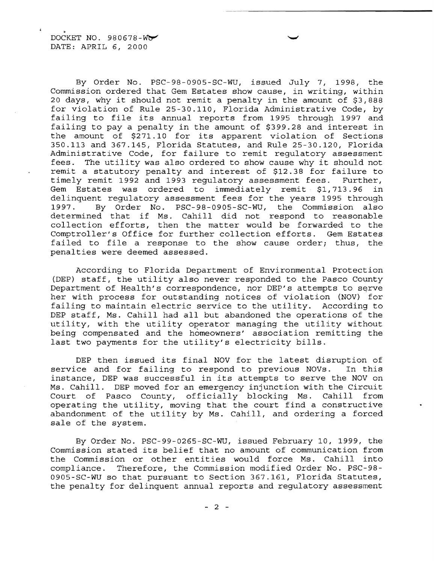By Order No. PSC-98-0905-SC-WU, issued July 7, 1998, the Commission ordered that Gem Estates show cause, in writing, within 20 days, why it should not remit a penalty in the amount of \$3,888 for violation of Rule 25-30.110, Florida Administrative Code, by failing to file its annual reports from 1995 through 1997 and failing to pay a penalty in the amount of \$399.28 and interest in the amount of \$271.10 for its apparent violation of Sections 350.113 and 367.145, Florida Statutes, and Rule 25-30.120, Florida Administrative Code, for failure to remit regulatory assessment fees. The utility was also ordered to show cause why it should not remit a statutory penalty and interest of \$12.38 for failure to timely remit 1992 and 1993 regulatory assessment fees. Further, Gem Estates was ordered to immediately remit \$1,713.96 in delinquent regulatory assessment fees for the years 1995 through 1997. By Order No. PSC-98-0905-SC-WU, the Commission also determined that if Ms. Cahill did not respond to reasonable collection efforts, then the matter would be forwarded to the Comptroller's Office for further collection efforts. Gem Estates failed to file a response to the show cause order; thus, the penalties were deemed assessed.

According to Florida Department of Environmental Protection (DEP) staff, the utility also never responded to the Pasco County Department of Health's correspondence, nor DEP's attempts to serve her with process for outstanding notices of violation (NOV) for failing to maintain electric service to the utility. According to DEP staff, Ms. Cahill had all but abandoned the operations of the utility, with the utility operator managing the utility without being compensated and the homeowners' association remitting the last two payments for the utility's electricity bills.

DEP then issued its final NOV for the latest disruption of<br>ce and for failing to respond to previous NOVs. In this service and for failing to respond to previous NOVs. instance, DEP was successful in its attempts to serve the NOV on Ms. Cahill. DEP moved for an emergency injunction with the Circuit Court of Pasco County, officially blocking Ms. Cahill from operating the utility, moving that the court find a constructive abandonment of the utility by Ms. Cahill, and ordering a forced sale of the system.

By Order No. PSC-99-0265-SC-WU, issued February 10, 1999, the Commission stated its belief that no amount of communication from the Commission or other entities would force Ms. Cahill into compliance. Therefore, the Commission modified Order No. PSC-98 0905-SC-WU so that pursuant to section 367.161, Florida Statutes, the penalty for delinquent annual reports and regulatory assessment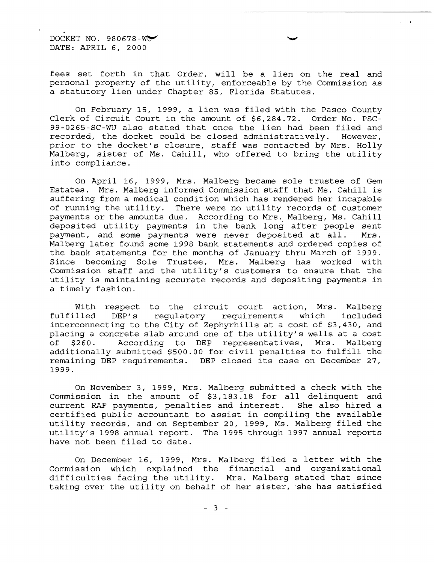DOCKET NO. 980678- $W$ DATE: APRIL 6, 2000

fees set forth in that Order, will be a lien on the real and personal property of the utility, enforceable by the Commission as a statutory lien under Chapter 85, Florida Statutes.

On February 15, 1999, a lien was filed with the Pasco County Clerk of Circuit Court in the amount of \$6,284.72. Order No. PSC-99-0265-SC-WU also stated that once the lien had been filed and recorded, the docket could be closed administratively. However, recorded, the docket could be closed administratively. prior to the docket's closure, staff was contacted by Mrs. Holly Malberg, sister of Ms. Cahill, who offered to bring the utility into compliance.

On April 16, 1999, Mrs. Malberg became sole trustee of Gem Estates. Mrs. Malberg informed Commission staff that Ms. Cahill is suffering from a medical condition which has rendered her incapable of running the utility. There were no utility records of customer payments or the amounts due. According to Mrs. Malberg, Ms. Cahill deposited utility payments in the bank long after people sent payment, and some payments were never deposited at all. Mrs. Malberg later found some 1998 bank statements and ordered copies of the bank statements for the months of January thru March of 1999. Since becoming Sole Trustee, Mrs. Malberg has worked with Commission staff and the utility's customers to ensure that the utility is maintaining accurate records and depositing payments in a timely fashion.

With respect to the circuit court action, Mrs. Malberg fulfilled DEP's regulatory requirements which included interconnecting to the City of Zephyrhills at a cost of \$3,430, and placing a concrete slab around one of the utility's wells at a cost of \$260. According to DEP representatives, Mrs. Malberg additionally submitted \$500.00 for civil penalties to fulfill the remaining DEP requirements. DEP closed its case on December 27, 1999.

On November 3, 1999, Mrs. Malberg submitted a check with the Commission in the amount of \$3,183.18 for all delinquent and current RAF payments, penalties and interest. She also hired a certified public accountant to assist in compiling the available utility records, and on September 20, 1999, Ms. Malberg filed the utility's 1998 annual report. The 1995 through 1997 annual reports have not been filed to date.

On December 16, 1999, Mrs. Malberg filed a letter with the Commission which explained the financial and organizational difficulties facing the utility. Mrs. Malberg stated that since taking over the utility on behalf of her sister, she has satisfied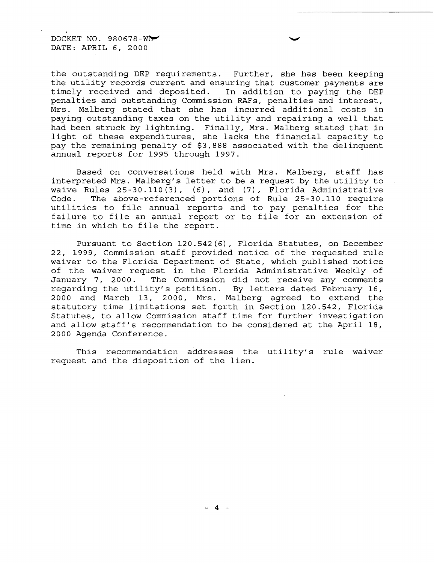DOCKET NO.  $980678-\text{W}$ DATE: APRIL 6, 2000

the outstanding DEP requirements. Further, she has been keeping the utility records current and ensuring that customer payments are<br>timely received and deposited. In addition to paying the DEP In addition to paying the DEP penalties and outstanding Commission RAFs, penalties and interest, Mrs. Malberg stated that she has incurred additional costs in paying outstanding taxes on the utility and repairing a well that had been struck by lightning. Finally, Mrs. Malberg stated that in light of these expenditures, she lacks the financial capacity to pay the remaining penalty of \$3,888 associated with the delinquent annual reports for 1995 through 1997.

Based on conversations held with Mrs. Malberg, staff has interpreted Mrs. Malberg's letter to be a request by the utility to waive Rules 25-30.110 (3), (6), and (7), Florida Administrative Code. The above-referenced portions of Rule 25-30.110 require utilities to file annual reports and to pay penalties for the failure to file an annual report or to file for an extension of time in which to file the report.

Pursuant to Section 120.542(6), Florida Statutes, on December 22, 1999, Commission staff provided notice of the requested rule waiver to the Florida Department of State, which published notice of the waiver request in the Florida Administrative Weekly of January 7, 2000. The Commission did not receive any comments regarding the utility's petition. By letters dated February 16, 2000 and March 13, 2000, Mrs. Malberg agreed to extend the statutory time limitations set forth in Section 120.542, Florida Statutes, to allow Commission staff time for further investigation and allow staff's recommendation to be considered at the April 18, 2000 Agenda Conference.

This recommendation addresses the utility's rule waiver request and the disposition of the lien.

 $- 4 -$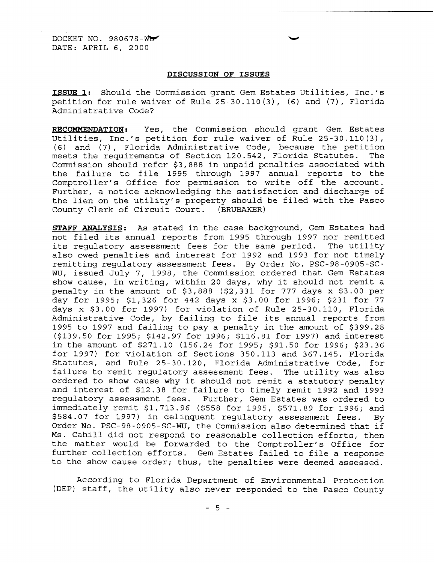$DOCKET NO. 980678-W$ DATE: APRIL 6, 2000

## **DISCUSSION OF ISSUES**

**ISSUE 1:** Should the Commission grant Gem Estates utilities, Inc.'s petition for rule waiver of Rule 25-30.110(3), (6) and (7), Florida Administrative Code?

**RECOMMENDATION:** Yes, the Commission should grant Gem Estates Utilities, Inc.'s petition for rule waiver of Rule 25-30.110(3), (6) and (7), Florida Administrative Code, because the petition meets the requirements of Section 120.542, Florida Statutes. Commission should refer \$3,888 in unpaid penalties associated with the failure to file 1995 through 1997 annual reports to the Comptroller's Office for permission to write off the account. Further, a notice acknowledging the satisfaction and discharge of the lien on the utility's property should be filed with the Pasco County Clerk of Circuit Court. (BRUBAKER)

**STAFF ANALYSIS:** As stated in the case background, Gem Estates had not filed its annual reports from 1995 through 1997 nor remitted its regulatory assessment fees for the same period. The utility also owed penalties and interest for 1992 and 1993 for not timely remitting regulatory assessment fees. By Order No. PSC-98-0905-SCwu, issued July 7, 1998, the Commission ordered that Gem Estates show cause, in writing, within 20 days, why it should not remit a penalty in the amount of \$3,888 (\$2,331 for 777 days x \$3.00 per day for 1995; \$1,326 for 442 days x \$3.00 for 1996; \$231 for 77 days x \$3.00 for 1997) for violation of Rule 25-30.110, Florida Administrative Code, by failing to file its annual reports from 1995 to 1997 and failing to pay a penalty in the amount of \$399.28 (\$139.50 for 1995; \$142.97 for 1996; \$116.81 for 1997) and interest in the amount of \$271.10 (156.24 for 1995; \$91.50 for 1996; \$23.36 for 1997) for violation of Sections 350.113 and 367.145, Florida Statutes, and Rule 25 30.120, Florida Administrative Code, for failure to remit regulatory assessment fees. The utility was also ordered to show cause why it should not remit a statutory penalty and interest of \$12.38 for failure to timely remit 1992 and 1993 regulatory assessment fees. Further, Gem Estates was ordered to immediately remit \$1,713.96 (\$558 for 1995, \$571.89 for 1996; and \$584.07 for 1997) in delinquent regulatory assessment fees. By Order No. PSC-98-0905-SC-WU, the Commission also determined that if Ms. Cahill did not respond to reasonable collection efforts, then the matter would be forwarded to the Comptroller's Office for further collection efforts. Gem Estates failed to file a response to the show cause order; thus, the penalties were deemed assessed.

According to Florida Department of Environmental Protection (DEP) staff, the utility also never responded to the Pasco County

 $-5 -$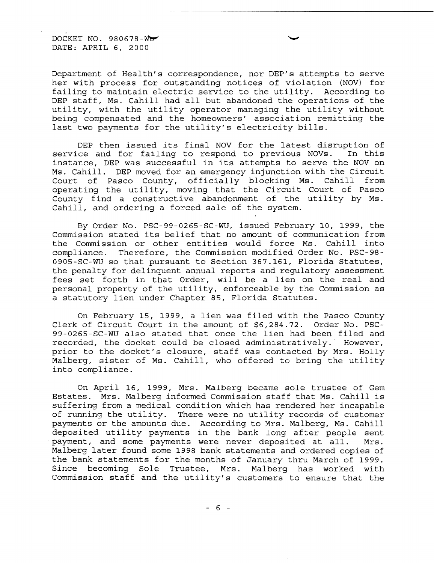DOCKET NO. 980678-W

Department of Health's correspondence, nor DEP's attempts to serve her with process for outstanding notices of violation (NOV) for failing to maintain electric service to the utility. According to DEP staff, Ms. Cahill had all but abandoned the operations of the utility, with the utility operator managing the utility without being compensated and the homeowners' association remitting the last two payments for the utility's electricity bills.

DEP then issued its final NOV for the latest disruption of ce and for failing to respond to previous NOVs. In this service and for failing to respond to previous NOVs. instance, DEP was successful in its attempts to serve the NOV on Ms. Cahill. DEP moved for an emergency injunction with the Circuit Court of Pasco County, officially blocking Ms. Cahill from operating the utility, moving that the Circuit Court of Pasco County find a constructive abandonment of the utility by Ms. Cahill, and ordering a forced sale of the system.

By Order No. PSC-99-0265-SC-WU, issued February 10, 1999, the Commission stated its belief that no amount of communication from the Commission or other entities would force Ms. Cahill into compliance. Therefore, the Commission modified Order No. PSC-98 0905-SC-WU so that pursuant to Section 367.161, Florida Statutes, the penalty for delinquent annual reports and regulatory assessment fees set forth in that Order, will be a lien on the real and personal property of the utility, enforceable by the Commission as a statutory lien under Chapter 85, Florida Statutes.

On February 15, 1999, a lien was filed with the Pasco County Clerk of Circuit Court in the amount of \$6,284.72. Order No. PSC-99-0265 SC-WU also stated that once the lien had been filed and recorded, the docket could be closed administratively. However, prior to the docket's closure, staff was contacted by Mrs. Holly Malberg, sister of Ms. Cahill, who offered to bring the utility into compliance.

On April 16, 1999, Mrs. Malberg became sole trustee of Gem Estates. Mrs. Malberg informed Commission staff that Ms. Cahill is suffering from a medical condition which has rendered her incapable of running the utility. There were no utility records of customer payments or the amounts due. According to Mrs. Malberg, Ms. Cahill deposited utility payments in the bank long after people sent payment, and some payments were never deposited at all. Mrs. Malberg later found some 1998 bank statements and ordered copies of the bank statements for the months of January thru March of 1999. Since becoming Sole Trustee, Mrs. Malberg has worked with Commission staff and the utility's customers to ensure that the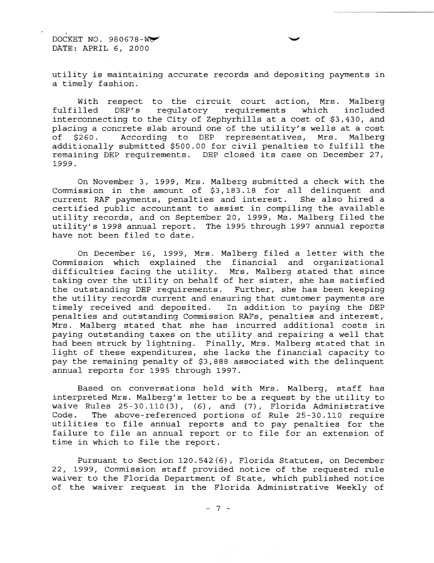DOCKET NO. 980678-W DATE: APRIL 6, 2000

utility is maintaining accurate records and depositing payments in a timely fashion.

--------\_.

With respect to the circuit court action, Mrs. Malberg<br>fulfilled DEP's requlatory requirements which included DEP's regulatory requirements interconnecting to the City of Zephyrhills at a cost of \$3,430, and placing a concrete slab around one of the utility's wells at a cost<br>of \$260. According to DEP representatives, Mrs. Malberg According to DEP representatives, Mrs. additionally submitted \$500.00 for civil penalties to fulfill the remaining DEP requirements. DEP closed its case on December 27, 1999.

On November 3, 1999, Mrs. Malberg submitted a check with the Commission in the amount of \$3,183.18 for all delinquent and current RAF payments, penalties and interest. She also hired a certified public accountant to assist in compiling the available utility records, and on September 20, 1999, Ms. Malberg filed the utility's 1998 annual report. The 1995 through 1997 annual reports have not been filed to date.

On December 16, 1999, Mrs. Malberg filed a letter with the Commission which explained the financial and organizational difficulties facing the utility. Mrs. Malberg stated that since taking over the utility on behalf of her sister, she has satisfied the outstanding DEP requirements. Further, she has been keeping the utility records current and ensuring that customer payments are timely received and deposited. In addition to paying the DEP penalties and outstanding Commission RAFs, penalties and interest, Mrs. Malberg stated that she has incurred additional costs in paying outstanding taxes on the utility and repairing a well that had been struck by lightning. Finally, Mrs. Malberg stated that in light of these expenditures, she lacks the financial capacity to pay the remaining penalty of \$3,888 associated with the delinquent annual reports for 1995 through 1997.

Based on conversations held with Mrs. Malberg, staff has interpreted Mrs. Malberg's letter to be a request by the utility to waive Rules 25-30.110 (3), (6), and (7), Florida Administrative Code. The above-referenced portions of Rule  $25-30.110$  require utilities to file annual reports and to pay penalties for the failure to file an annual report or to file for an extension of time in which to file the report.

Pursuant to Section 120.542(6), Florida Statutes, on December 22, 1999, Commission staff provided notice of the requested rule waiver to the Florida Department of State, which published notice of the waiver request in the Florida Administrative Weekly of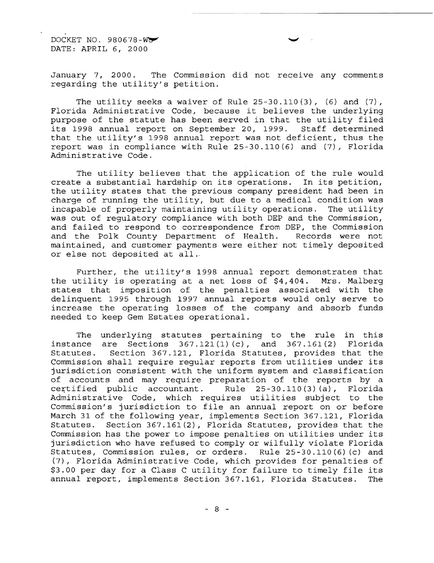DOCKET NO. 980678-WO DATE: APRIL 6, 2000

January 7, 2000. The Commission did not receive any comments regarding the utility's petition.

The utility seeks a waiver of Rule  $25-30.110(3)$ , (6) and (7), Florida Administrative Code, because it believes the underlying purpose of the statute has been served in that the utility filed<br>its 1998 annual report on September 20, 1999. Staff determined its 1998 annual report on September 20, 1999. that the utility's 1998 annual report was not deficient, thus the report was in compliance with Rule  $25-30.110(6)$  and  $(7)$ , Florida Administrative Code.

The utility believes that the application of the rule would create a substantial hardship on its operations. In its petition, the utility states that the previous company president had been in charge of running the utility, but due to a medical condition was incapable of properly maintaining utility operations. The utility was out of regulatory compliance with both DEP and the Commission, and failed to respond to correspondence from DEP, the Commission and the Polk County Department of Health. Records were not maintained, and customer payments were either not timely deposited or else not deposited at all ..

Further, the utility's 1998 annual report demonstrates that<br>itility is operating at a net loss of \$4,404. Mrs. Malberg the utility is operating at a net loss of  $$4,404$ . states that imposition of the penalties associated with the delinquent 1995 through 1997 annual reports would only serve to increase the operating losses of the company and absorb funds needed to keep Gem Estates operational.

The underlying statutes pertaining to the rule in this instance are Sections 367.121(1) (c), and 367.161(2) Florida Statutes. Section 367.121, Florida Statutes, provides that the Commission shall require regular reports from utilities under its jurisdiction consistent with the uniform system and classification of accounts and may require preparation of the reports by a<br>certified public accountant. Rule 25-30.110(3)(a), Florida Rule  $25-30.110(3)(a)$ , Florida Administrative Code, which requires utilities subject to the Commission's jurisdiction to file an annual report on or before March 31 of the following year, implements Section 367.121, Florida Statutes. Section 367.161(2), Florida Statutes, provides that the Commission has the power to impose penalties on utilities under its jurisdiction who have refused to comply or wilfully violate Florida Statutes, Commission rules, or orders. Rule 25-30.110(6) (c) and (7), Florida Administrative Code, which provides for penalties \$3.00 per day for a Class C utility for failure to timely file its annual report, implements Section 367.161, Florida Statutes. The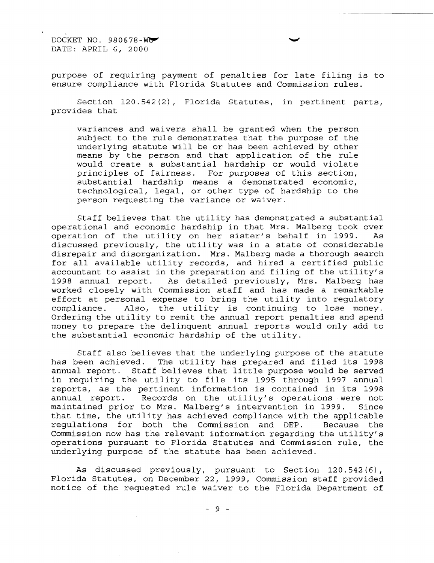DOCKET NO. 980678-WO DATE: APRIL 6, 2000

purpose of requiring payment of penalties for late filing is to ensure compliance with Florida Statutes and Commission rules.

Section 120.542 (2), Florida Statutes, in pertinent parts, provides that

variances and waivers shall be granted when the person subject to the rule demonstrates that the purpose of the underlying statute will be or has been achieved by other means by the person and that application of the rule would create a substantial hardship or would violate<br>principles of fairness. For purposes of this section, For purposes of this section, substantial hardship means a demonstrated economic, technological, legal, or other type of hardship to the person requesting the variance or waiver.

Staff believes that the utility has demonstrated a substantial operational and economic hardship in that Mrs. Malberg took over operation of the utility on her sister's behalf in 1999. As discussed previously, the utility was in a state of considerable disrepair and disorganization. Mrs. Malberg made a thorough search for all available utility records, and hired a certified public accountant to assist in the preparation and filing of the utility's 1998 annual report. As detailed previously, Mrs. Malberg has worked closely with Commission staff and has made a remarkable effort at personal expense to bring the utility into regulatory compliance. Also, the utility is continuing to lose money. Ordering the utility to remit the annual report penalties and spend money to prepare the delinquent annual reports would only add to the substantial economic hardship of the utility.

Staff also believes that the underlying purpose of the statute has been achieved. The utility has prepared and filed its 1998 annual report. Staff believes that little purpose would be served in requiring the utility to file its 1995 through 1997 annual reports, as the pertinent information is contained in its 1998 Records on the utility's operations were not<br>to Mrs. Malberg's intervention in 1999. Since maintained prior to Mrs. Malberg's intervention in 1999. that time, the utility has achieved compliance with the applicable requlations for both the Commission and DEP. Because the regulations for both the Commission and DEP. Commission now has the relevant information regarding the utility's operations pursuant to Florida Statutes and Commission rule, the underlying purpose of the statute has been achieved.

As discussed previously, pursuant to Section 120.542(6), Florida Statutes, on December 22, 1999, Commission staff provided notice of the requested rule waiver to the Florida Department of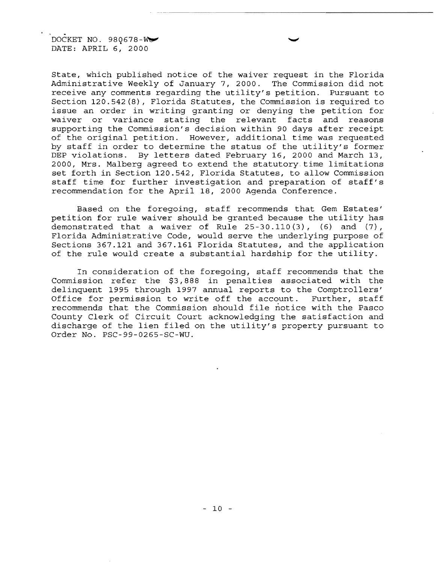DOCKET NO. 980678-W

State, which published notice of the waiver request in the Florida Administrative Weekly of January 7, 2000. The Commission did not receive any comments regarding the utility's petition. Pursuant to Section 120.542(8), Florida Statutes, the Commission is required to issue an order in writing granting or denying the petition for waiver or variance stating the relevant facts and reasons supporting the Commission's decision within 90 days after receipt of the original petition. However, additional time was requested by staff in order to determine the status of the utility's former DEP violations. By letters dated February 16, 2000 and March 13, 2000, Mrs. Malberg agreed to extend the statutory. time limitations set forth in Section 120.542, Florida Statutes, to allow Commission staff time for further investigation and preparation of staff's recommendation for the April 18, 2000 Agenda Conference.

Based on the foregoing, staff recommends that Gem Estates' petition for rule waiver should be granted because the utility has demonstrated that a waiver of Rule  $25-30.110(3)$ , (6) and (7), Florida Administrative Code, would serve the underlying purpose of Sections 367.121 and 367.161 Florida Statutes, and the application of the rule would create a substantial hardship for the utility.

In consideration of the foregoing, staff recommends that the Commission refer the \$3,888 in penalties associated with the delinquent 1995 through 1997 annual reports to the Comptrollers' Office for permission to write off the account. Further, staff recommends that the Commission should file notice with the Pasco County Clerk of Circuit Court acknowledging the satisfaction and discharge of the lien filed on the utility's property pursuant to Order No. PSC-99-0265-SC-WU.